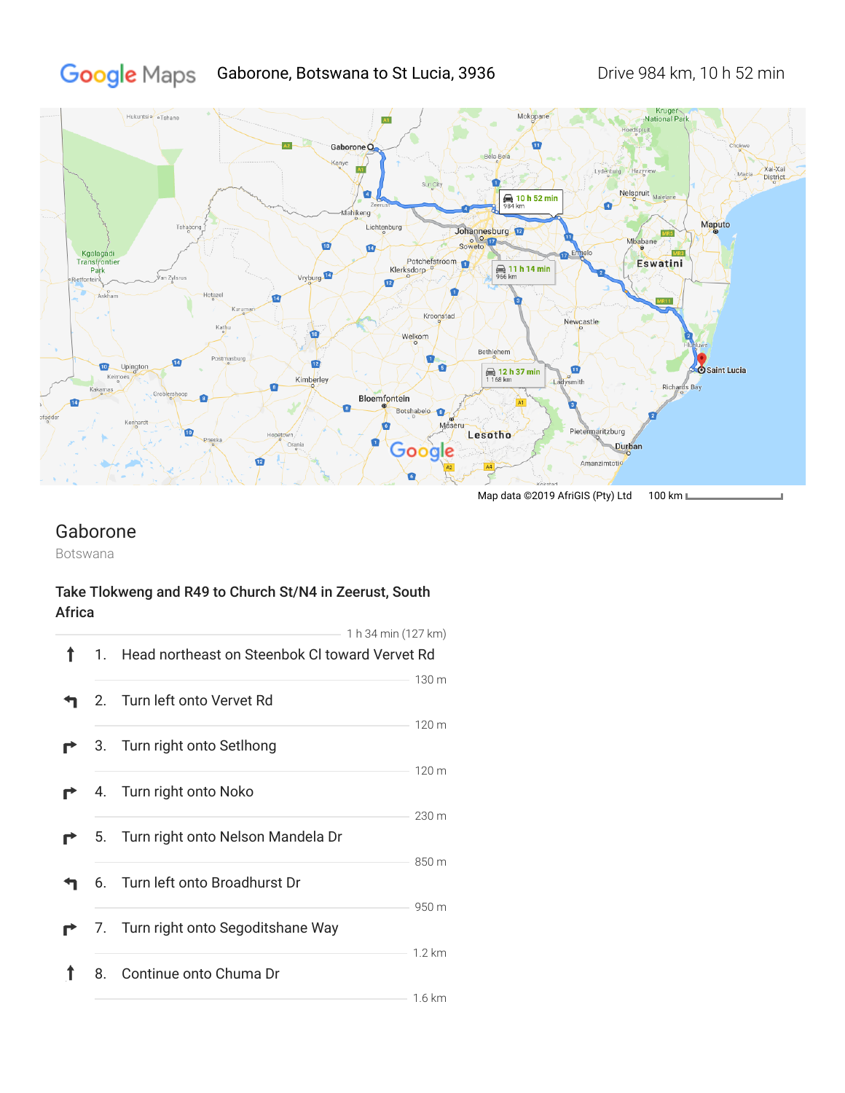# Google Maps Gaborone, Botswana to St Lucia, 3936 Drive 984 km, 10 h 52 min



Map data ©2019 AfriGIS (Pty) Ltd 100 km L

## Gaborone

Botswana

#### Take Tlokweng and R49 to Church St/N4 in Zeerust, South Africa

|    | 1 h 34 min (127 km)                            |                  |
|----|------------------------------------------------|------------------|
| 1. | Head northeast on Steenbok CI toward Vervet Rd |                  |
|    | 2. Turn left onto Vervet Rd                    | 130 m            |
|    | 3. Turn right onto Setlhong                    | 120 <sub>m</sub> |
|    | 4. Turn right onto Noko                        | 120 <sub>m</sub> |
|    | 5. Turn right onto Nelson Mandela Dr           | 230 m            |
|    | 6. Turn left onto Broadhurst Dr                | 850 m<br>950 m   |
|    | 7. Turn right onto Segoditshane Way            |                  |
| 8. | Continue onto Chuma Dr                         | $1.2 \text{ km}$ |
|    |                                                | $1.6 \text{ km}$ |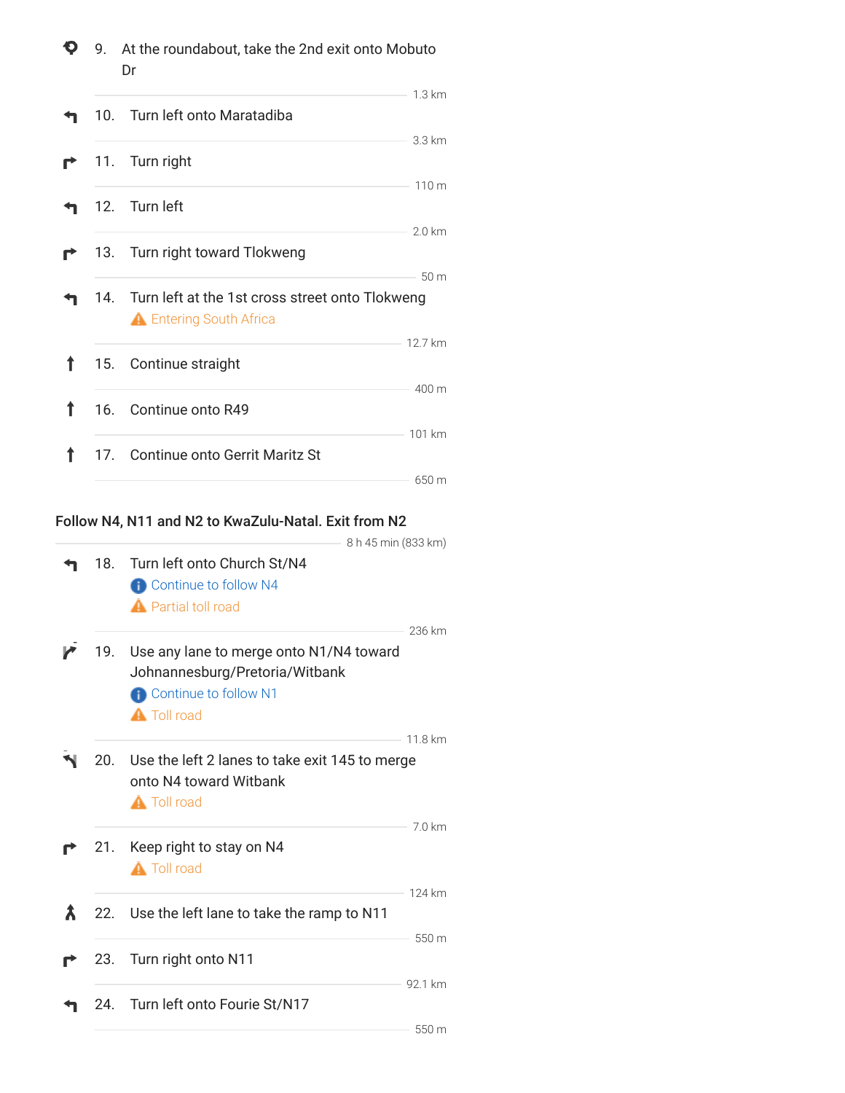| Q | 9. At the roundabout, take the 2nd exit onto Mobuto<br>Dr |                                                                                       |                   |
|---|-----------------------------------------------------------|---------------------------------------------------------------------------------------|-------------------|
|   |                                                           | 10. Turn left onto Maratadiba                                                         | $1.3 \mathrm{km}$ |
|   |                                                           | 11. Turn right                                                                        | 3.3 km            |
|   |                                                           | 12. Turn left                                                                         | 110 m             |
|   |                                                           | 13. Turn right toward Tlokweng                                                        | $2.0 \mathrm{km}$ |
|   |                                                           | 14. Turn left at the 1st cross street onto Tlokweng<br><b>A</b> Entering South Africa | 50 <sub>m</sub>   |
| ↑ |                                                           | 15. Continue straight                                                                 | 12.7 km           |
| Ť |                                                           | 16. Continue onto R49                                                                 | 400 m             |
|   |                                                           | 17. Continue onto Gerrit Maritz St                                                    | 101 km            |
|   |                                                           |                                                                                       | 650 m             |

### Follow N4, N11 and N2 to KwaZulu-Natal. Exit from N2

|     | 8 h 45 min (833 km)                                                                                                             |         |
|-----|---------------------------------------------------------------------------------------------------------------------------------|---------|
| 18. | Turn left onto Church St/N4<br><b>P</b> Continue to follow N4<br><b>A</b> Partial toll road                                     |         |
| 19. | Use any lane to merge onto N1/N4 toward<br>Johnannesburg/Pretoria/Witbank<br><b>Continue to follow N1</b><br><b>A</b> Toll road | 236 km  |
| 20. | Use the left 2 lanes to take exit 145 to merge<br>onto N4 toward Witbank<br><b>A</b> Toll road                                  | 11.8 km |
| 21. | Keep right to stay on N4<br><b>A</b> Toll road                                                                                  | 7.0 km  |
| 22. | Use the left lane to take the ramp to N11                                                                                       | 124 km  |
| 23. | Turn right onto N11                                                                                                             | 550 m   |
| 24. | Turn left onto Fourie St/N17                                                                                                    | 92.1 km |
|     |                                                                                                                                 | — 550 m |